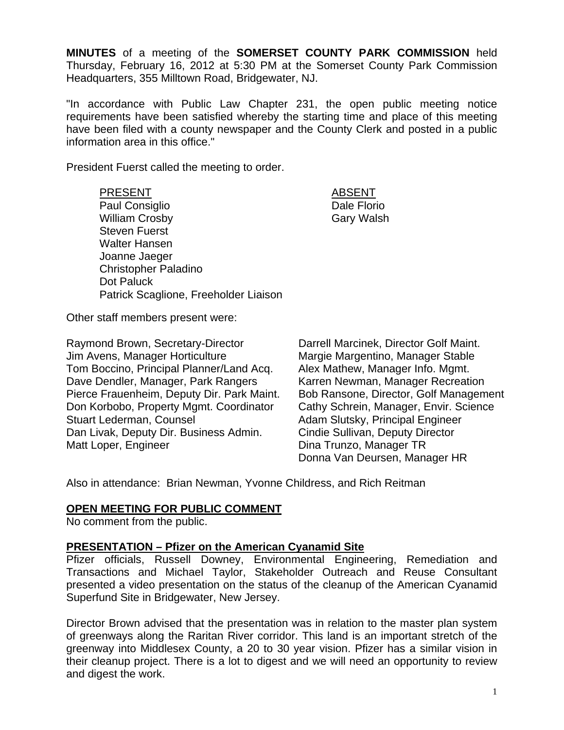**MINUTES** of a meeting of the **SOMERSET COUNTY PARK COMMISSION** held Thursday, February 16, 2012 at 5:30 PM at the Somerset County Park Commission Headquarters, 355 Milltown Road, Bridgewater, NJ.

"In accordance with Public Law Chapter 231, the open public meeting notice requirements have been satisfied whereby the starting time and place of this meeting have been filed with a county newspaper and the County Clerk and posted in a public information area in this office."

President Fuerst called the meeting to order.

#### PRESENT ABSENT

Paul Consiglio **Dale Florio** Dale Florio William Crosby Gary Walsh Steven Fuerst Walter Hansen Joanne Jaeger Christopher Paladino Dot Paluck Patrick Scaglione, Freeholder Liaison

Other staff members present were:

Raymond Brown, Secretary-Director Darrell Marcinek, Director Golf Maint. Jim Avens, Manager Horticulture Margie Margentino, Manager Stable Tom Boccino, Principal Planner/Land Acq. Alex Mathew, Manager Info. Mgmt. Dave Dendler, Manager, Park Rangers Karren Newman, Manager Recreation Pierce Frauenheim, Deputy Dir. Park Maint. Bob Ransone, Director, Golf Management Don Korbobo, Property Mgmt. Coordinator Cathy Schrein, Manager, Envir. Science Stuart Lederman, Counsel **Adam Slutsky**, Principal Engineer Dan Livak, Deputy Dir. Business Admin. Cindie Sullivan, Deputy Director Matt Loper, Engineer **Dina Trunzo**, Manager TR

Donna Van Deursen, Manager HR

Also in attendance: Brian Newman, Yvonne Childress, and Rich Reitman

## **OPEN MEETING FOR PUBLIC COMMENT**

No comment from the public.

## **PRESENTATION – Pfizer on the American Cyanamid Site**

Pfizer officials, Russell Downey, Environmental Engineering, Remediation and Transactions and Michael Taylor, Stakeholder Outreach and Reuse Consultant presented a video presentation on the status of the cleanup of the American Cyanamid Superfund Site in Bridgewater, New Jersey.

Director Brown advised that the presentation was in relation to the master plan system of greenways along the Raritan River corridor. This land is an important stretch of the greenway into Middlesex County, a 20 to 30 year vision. Pfizer has a similar vision in their cleanup project. There is a lot to digest and we will need an opportunity to review and digest the work.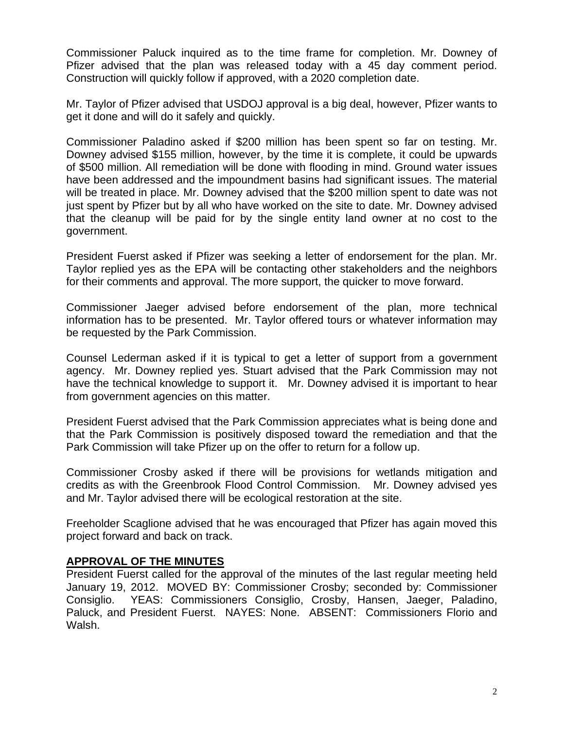Commissioner Paluck inquired as to the time frame for completion. Mr. Downey of Pfizer advised that the plan was released today with a 45 day comment period. Construction will quickly follow if approved, with a 2020 completion date.

Mr. Taylor of Pfizer advised that USDOJ approval is a big deal, however, Pfizer wants to get it done and will do it safely and quickly.

Commissioner Paladino asked if \$200 million has been spent so far on testing. Mr. Downey advised \$155 million, however, by the time it is complete, it could be upwards of \$500 million. All remediation will be done with flooding in mind. Ground water issues have been addressed and the impoundment basins had significant issues. The material will be treated in place. Mr. Downey advised that the \$200 million spent to date was not just spent by Pfizer but by all who have worked on the site to date. Mr. Downey advised that the cleanup will be paid for by the single entity land owner at no cost to the government.

President Fuerst asked if Pfizer was seeking a letter of endorsement for the plan. Mr. Taylor replied yes as the EPA will be contacting other stakeholders and the neighbors for their comments and approval. The more support, the quicker to move forward.

Commissioner Jaeger advised before endorsement of the plan, more technical information has to be presented. Mr. Taylor offered tours or whatever information may be requested by the Park Commission.

Counsel Lederman asked if it is typical to get a letter of support from a government agency. Mr. Downey replied yes. Stuart advised that the Park Commission may not have the technical knowledge to support it. Mr. Downey advised it is important to hear from government agencies on this matter.

President Fuerst advised that the Park Commission appreciates what is being done and that the Park Commission is positively disposed toward the remediation and that the Park Commission will take Pfizer up on the offer to return for a follow up.

Commissioner Crosby asked if there will be provisions for wetlands mitigation and credits as with the Greenbrook Flood Control Commission. Mr. Downey advised yes and Mr. Taylor advised there will be ecological restoration at the site.

Freeholder Scaglione advised that he was encouraged that Pfizer has again moved this project forward and back on track.

# **APPROVAL OF THE MINUTES**

President Fuerst called for the approval of the minutes of the last regular meeting held January 19, 2012. MOVED BY: Commissioner Crosby; seconded by: Commissioner Consiglio. YEAS: Commissioners Consiglio, Crosby, Hansen, Jaeger, Paladino, Paluck, and President Fuerst. NAYES: None. ABSENT: Commissioners Florio and Walsh.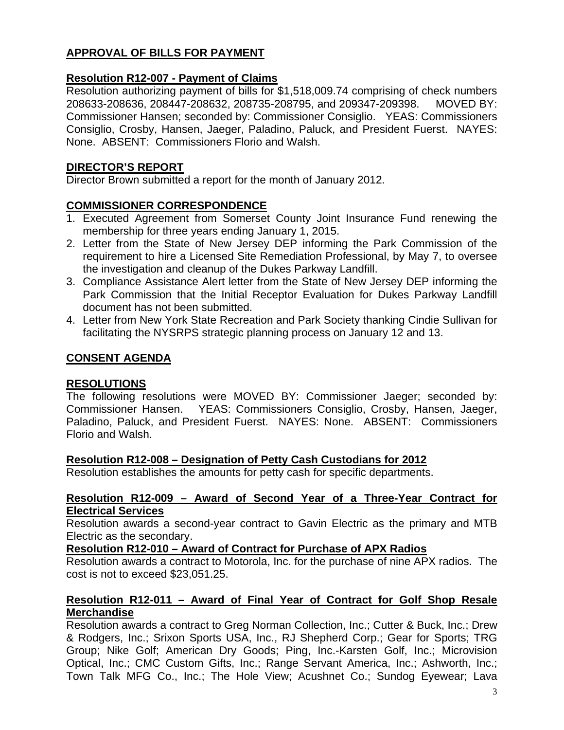# **APPROVAL OF BILLS FOR PAYMENT**

# **Resolution R12-007 - Payment of Claims**

Resolution authorizing payment of bills for \$1,518,009.74 comprising of check numbers 208633-208636, 208447-208632, 208735-208795, and 209347-209398. MOVED BY: Commissioner Hansen; seconded by: Commissioner Consiglio. YEAS: Commissioners Consiglio, Crosby, Hansen, Jaeger, Paladino, Paluck, and President Fuerst. NAYES: None. ABSENT: Commissioners Florio and Walsh.

## **DIRECTOR'S REPORT**

Director Brown submitted a report for the month of January 2012.

## **COMMISSIONER CORRESPONDENCE**

- 1. Executed Agreement from Somerset County Joint Insurance Fund renewing the membership for three years ending January 1, 2015.
- 2. Letter from the State of New Jersey DEP informing the Park Commission of the requirement to hire a Licensed Site Remediation Professional, by May 7, to oversee the investigation and cleanup of the Dukes Parkway Landfill.
- 3. Compliance Assistance Alert letter from the State of New Jersey DEP informing the Park Commission that the Initial Receptor Evaluation for Dukes Parkway Landfill document has not been submitted.
- 4. Letter from New York State Recreation and Park Society thanking Cindie Sullivan for facilitating the NYSRPS strategic planning process on January 12 and 13.

# **CONSENT AGENDA**

## **RESOLUTIONS**

The following resolutions were MOVED BY: Commissioner Jaeger; seconded by: Commissioner Hansen. YEAS: Commissioners Consiglio, Crosby, Hansen, Jaeger, Paladino, Paluck, and President Fuerst. NAYES: None. ABSENT: Commissioners Florio and Walsh.

## **Resolution R12-008 – Designation of Petty Cash Custodians for 2012**

Resolution establishes the amounts for petty cash for specific departments.

### **Resolution R12-009 – Award of Second Year of a Three-Year Contract for Electrical Services**

Resolution awards a second-year contract to Gavin Electric as the primary and MTB Electric as the secondary.

## **Resolution R12-010 – Award of Contract for Purchase of APX Radios**

Resolution awards a contract to Motorola, Inc. for the purchase of nine APX radios. The cost is not to exceed \$23,051.25.

## **Resolution R12-011 – Award of Final Year of Contract for Golf Shop Resale Merchandise**

Resolution awards a contract to Greg Norman Collection, Inc.; Cutter & Buck, Inc.; Drew & Rodgers, Inc.; Srixon Sports USA, Inc., RJ Shepherd Corp.; Gear for Sports; TRG Group; Nike Golf; American Dry Goods; Ping, Inc.-Karsten Golf, Inc.; Microvision Optical, Inc.; CMC Custom Gifts, Inc.; Range Servant America, Inc.; Ashworth, Inc.; Town Talk MFG Co., Inc.; The Hole View; Acushnet Co.; Sundog Eyewear; Lava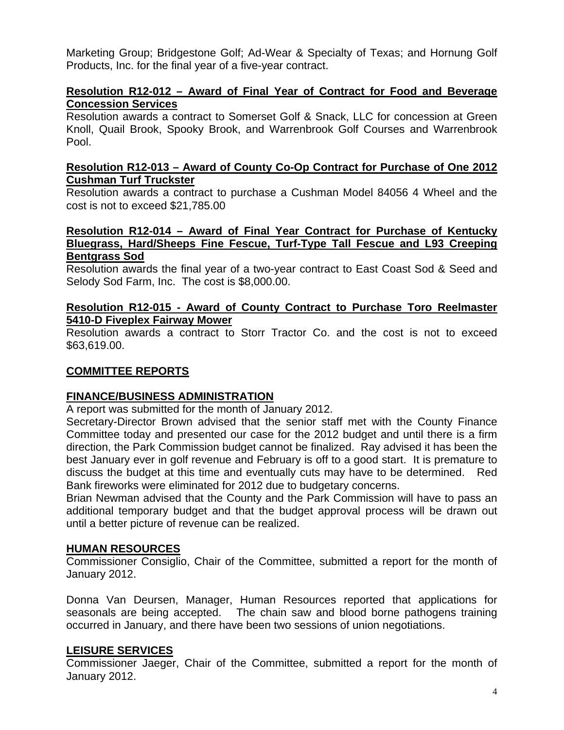Marketing Group; Bridgestone Golf; Ad-Wear & Specialty of Texas; and Hornung Golf Products, Inc. for the final year of a five-year contract.

# **Resolution R12-012 – Award of Final Year of Contract for Food and Beverage Concession Services**

Resolution awards a contract to Somerset Golf & Snack, LLC for concession at Green Knoll, Quail Brook, Spooky Brook, and Warrenbrook Golf Courses and Warrenbrook Pool.

### **Resolution R12-013 – Award of County Co-Op Contract for Purchase of One 2012 Cushman Turf Truckster**

Resolution awards a contract to purchase a Cushman Model 84056 4 Wheel and the cost is not to exceed \$21,785.00

## **Resolution R12-014 – Award of Final Year Contract for Purchase of Kentucky Bluegrass, Hard/Sheeps Fine Fescue, Turf-Type Tall Fescue and L93 Creeping Bentgrass Sod**

Resolution awards the final year of a two-year contract to East Coast Sod & Seed and Selody Sod Farm, Inc. The cost is \$8,000.00.

## **Resolution R12-015 - Award of County Contract to Purchase Toro Reelmaster 5410-D Fiveplex Fairway Mower**

Resolution awards a contract to Storr Tractor Co. and the cost is not to exceed \$63,619.00.

# **COMMITTEE REPORTS**

## **FINANCE/BUSINESS ADMINISTRATION**

A report was submitted for the month of January 2012.

Secretary-Director Brown advised that the senior staff met with the County Finance Committee today and presented our case for the 2012 budget and until there is a firm direction, the Park Commission budget cannot be finalized. Ray advised it has been the best January ever in golf revenue and February is off to a good start. It is premature to discuss the budget at this time and eventually cuts may have to be determined. Red Bank fireworks were eliminated for 2012 due to budgetary concerns.

Brian Newman advised that the County and the Park Commission will have to pass an additional temporary budget and that the budget approval process will be drawn out until a better picture of revenue can be realized.

## **HUMAN RESOURCES**

Commissioner Consiglio, Chair of the Committee, submitted a report for the month of January 2012.

Donna Van Deursen, Manager, Human Resources reported that applications for seasonals are being accepted. The chain saw and blood borne pathogens training occurred in January, and there have been two sessions of union negotiations.

## **LEISURE SERVICES**

Commissioner Jaeger, Chair of the Committee, submitted a report for the month of January 2012.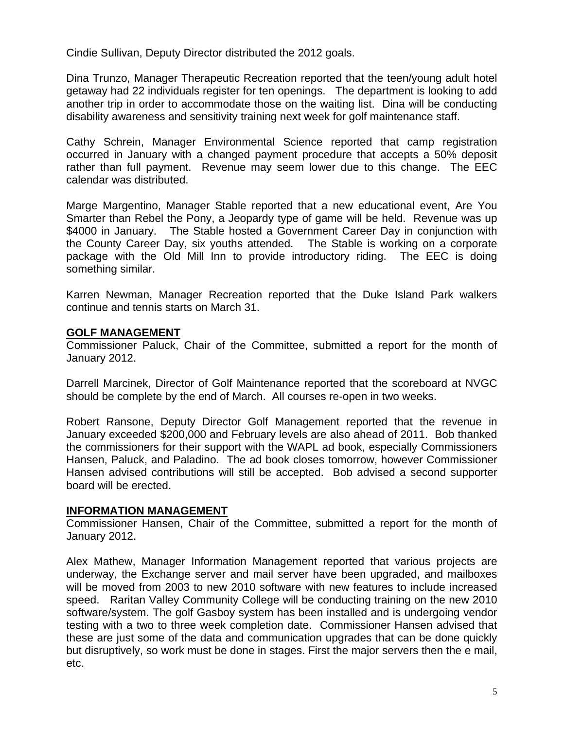Cindie Sullivan, Deputy Director distributed the 2012 goals.

Dina Trunzo, Manager Therapeutic Recreation reported that the teen/young adult hotel getaway had 22 individuals register for ten openings. The department is looking to add another trip in order to accommodate those on the waiting list. Dina will be conducting disability awareness and sensitivity training next week for golf maintenance staff.

Cathy Schrein, Manager Environmental Science reported that camp registration occurred in January with a changed payment procedure that accepts a 50% deposit rather than full payment. Revenue may seem lower due to this change. The EEC calendar was distributed.

Marge Margentino, Manager Stable reported that a new educational event, Are You Smarter than Rebel the Pony, a Jeopardy type of game will be held. Revenue was up \$4000 in January. The Stable hosted a Government Career Day in conjunction with the County Career Day, six youths attended. The Stable is working on a corporate package with the Old Mill Inn to provide introductory riding. The EEC is doing something similar.

Karren Newman, Manager Recreation reported that the Duke Island Park walkers continue and tennis starts on March 31.

# **GOLF MANAGEMENT**

Commissioner Paluck, Chair of the Committee, submitted a report for the month of January 2012.

Darrell Marcinek, Director of Golf Maintenance reported that the scoreboard at NVGC should be complete by the end of March. All courses re-open in two weeks.

Robert Ransone, Deputy Director Golf Management reported that the revenue in January exceeded \$200,000 and February levels are also ahead of 2011. Bob thanked the commissioners for their support with the WAPL ad book, especially Commissioners Hansen, Paluck, and Paladino. The ad book closes tomorrow, however Commissioner Hansen advised contributions will still be accepted. Bob advised a second supporter board will be erected.

## **INFORMATION MANAGEMENT**

Commissioner Hansen, Chair of the Committee, submitted a report for the month of January 2012.

Alex Mathew, Manager Information Management reported that various projects are underway, the Exchange server and mail server have been upgraded, and mailboxes will be moved from 2003 to new 2010 software with new features to include increased speed. Raritan Valley Community College will be conducting training on the new 2010 software/system. The golf Gasboy system has been installed and is undergoing vendor testing with a two to three week completion date. Commissioner Hansen advised that these are just some of the data and communication upgrades that can be done quickly but disruptively, so work must be done in stages. First the major servers then the e mail, etc.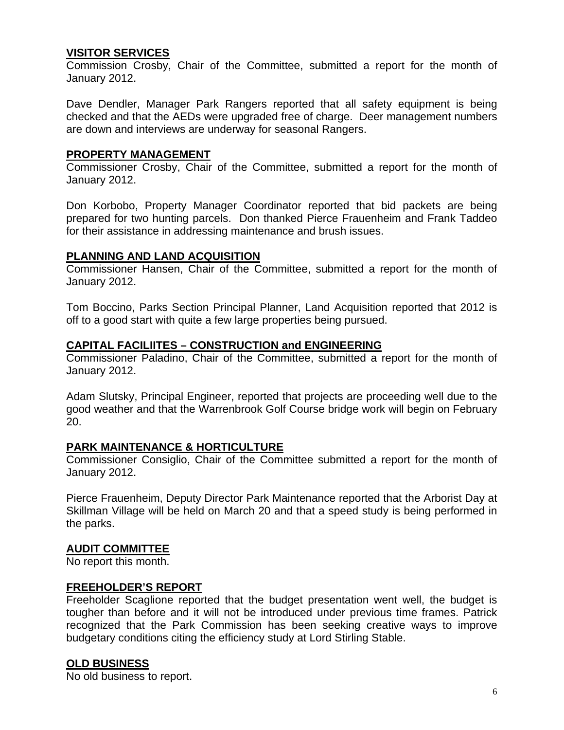## **VISITOR SERVICES**

Commission Crosby, Chair of the Committee, submitted a report for the month of January 2012.

Dave Dendler, Manager Park Rangers reported that all safety equipment is being checked and that the AEDs were upgraded free of charge. Deer management numbers are down and interviews are underway for seasonal Rangers.

### **PROPERTY MANAGEMENT**

Commissioner Crosby, Chair of the Committee, submitted a report for the month of January 2012.

Don Korbobo, Property Manager Coordinator reported that bid packets are being prepared for two hunting parcels. Don thanked Pierce Frauenheim and Frank Taddeo for their assistance in addressing maintenance and brush issues.

### **PLANNING AND LAND ACQUISITION**

Commissioner Hansen, Chair of the Committee, submitted a report for the month of January 2012.

Tom Boccino, Parks Section Principal Planner, Land Acquisition reported that 2012 is off to a good start with quite a few large properties being pursued.

### **CAPITAL FACILIITES – CONSTRUCTION and ENGINEERING**

Commissioner Paladino, Chair of the Committee, submitted a report for the month of January 2012.

Adam Slutsky, Principal Engineer, reported that projects are proceeding well due to the good weather and that the Warrenbrook Golf Course bridge work will begin on February 20.

### **PARK MAINTENANCE & HORTICULTURE**

Commissioner Consiglio, Chair of the Committee submitted a report for the month of January 2012.

Pierce Frauenheim, Deputy Director Park Maintenance reported that the Arborist Day at Skillman Village will be held on March 20 and that a speed study is being performed in the parks.

### **AUDIT COMMITTEE**

No report this month.

### **FREEHOLDER'S REPORT**

Freeholder Scaglione reported that the budget presentation went well, the budget is tougher than before and it will not be introduced under previous time frames. Patrick recognized that the Park Commission has been seeking creative ways to improve budgetary conditions citing the efficiency study at Lord Stirling Stable.

## **OLD BUSINESS**

No old business to report.